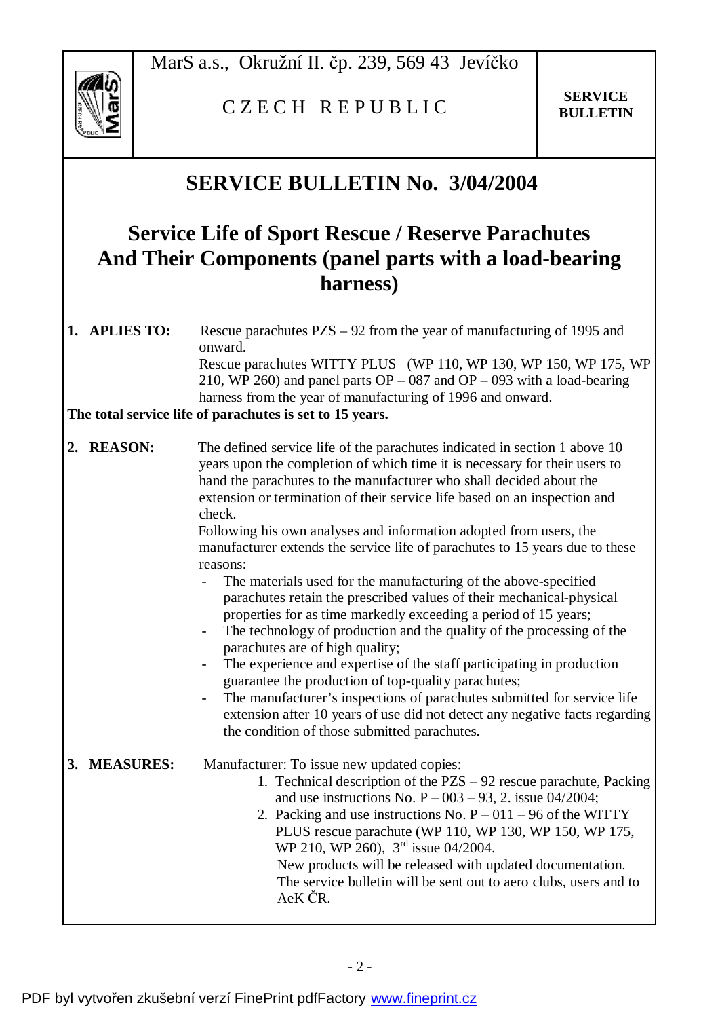

## C Z E C H R E P U B L I C **SERVICE**

## **SERVICE BULLETIN No. 3/04/2004**

## **Service Life of Sport Rescue / Reserve Parachutes And Their Components (panel parts with a load-bearing harness)**

**1. APLIES TO:** Rescue parachutes PZS – 92 from the year of manufacturing of 1995 and onward. Rescue parachutes WITTY PLUS (WP 110, WP 130, WP 150, WP 175, WP 210, WP 260) and panel parts  $OP - 087$  and  $OP - 093$  with a load-bearing harness from the year of manufacturing of 1996 and onward.

**The total service life of parachutes is set to 15 years.** 

**2. REASON:** The defined service life of the parachutes indicated in section 1 above 10 years upon the completion of which time it is necessary for their users to hand the parachutes to the manufacturer who shall decided about the extension or termination of their service life based on an inspection and check.

> Following his own analyses and information adopted from users, the manufacturer extends the service life of parachutes to 15 years due to these reasons:

- The materials used for the manufacturing of the above-specified parachutes retain the prescribed values of their mechanical-physical properties for as time markedly exceeding a period of 15 years;
- The technology of production and the quality of the processing of the parachutes are of high quality;
- The experience and expertise of the staff participating in production guarantee the production of top-quality parachutes;
- The manufacturer's inspections of parachutes submitted for service life extension after 10 years of use did not detect any negative facts regarding the condition of those submitted parachutes.

**3. MEASURES:** Manufacturer: To issue new updated copies: 1. Technical description of the PZS – 92 rescue parachute, Packing and use instructions No.  $P - 003 - 93$ , 2. issue 04/2004; 2. Packing and use instructions No.  $P - 011 - 96$  of the WITTY PLUS rescue parachute (WP 110, WP 130, WP 150, WP 175, WP 210, WP 260), 3<sup>rd</sup> issue 04/2004. New products will be released with updated documentation. The service bulletin will be sent out to aero clubs, users and to AeK ČR.